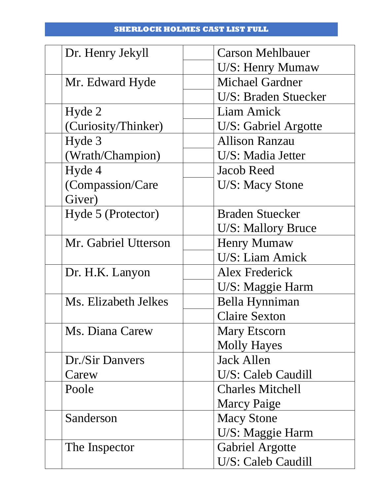## **SHERLOCK HOLMES CAST LIST FULL**

| Dr. Henry Jekyll     | <b>Carson Mehlbauer</b> |
|----------------------|-------------------------|
|                      | U/S: Henry Mumaw        |
| Mr. Edward Hyde      | <b>Michael Gardner</b>  |
|                      | U/S: Braden Stuecker    |
| Hyde 2               | Liam Amick              |
| (Curiosity/Thinker)  | U/S: Gabriel Argotte    |
| Hyde 3               | <b>Allison Ranzau</b>   |
| (Wrath/Champion)     | U/S: Madia Jetter       |
| Hyde 4               | <b>Jacob Reed</b>       |
| (Compassion/Care     | <b>U/S: Macy Stone</b>  |
| Giver)               |                         |
| Hyde 5 (Protector)   | <b>Braden Stuecker</b>  |
|                      | U/S: Mallory Bruce      |
| Mr. Gabriel Utterson | <b>Henry Mumaw</b>      |
|                      | U/S: Liam Amick         |
| Dr. H.K. Lanyon      | Alex Frederick          |
|                      | U/S: Maggie Harm        |
| Ms. Elizabeth Jelkes | Bella Hynniman          |
|                      | <b>Claire Sexton</b>    |
| Ms. Diana Carew      | <b>Mary Etscorn</b>     |
|                      | <b>Molly Hayes</b>      |
| Dr./Sir Danvers      | <b>Jack Allen</b>       |
| Carew                | U/S: Caleb Caudill      |
| Poole                | <b>Charles Mitchell</b> |
|                      | <b>Marcy Paige</b>      |
| Sanderson            | <b>Macy Stone</b>       |
|                      | U/S: Maggie Harm        |
| The Inspector        | <b>Gabriel Argotte</b>  |
|                      | U/S: Caleb Caudill      |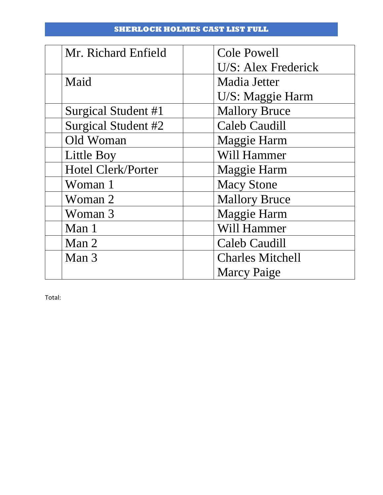## **SHERLOCK HOLMES CAST LIST FULL**

| Mr. Richard Enfield       | <b>Cole Powell</b>      |
|---------------------------|-------------------------|
|                           | U/S: Alex Frederick     |
| Maid                      | Madia Jetter            |
|                           | U/S: Maggie Harm        |
| Surgical Student #1       | <b>Mallory Bruce</b>    |
| Surgical Student #2       | <b>Caleb Caudill</b>    |
| Old Woman                 | Maggie Harm             |
| Little Boy                | Will Hammer             |
| <b>Hotel Clerk/Porter</b> | <b>Maggie Harm</b>      |
| Woman 1                   | <b>Macy Stone</b>       |
| Woman 2                   | <b>Mallory Bruce</b>    |
| Woman 3                   | Maggie Harm             |
| Man 1                     | Will Hammer             |
| Man 2                     | <b>Caleb Caudill</b>    |
| Man 3                     | <b>Charles Mitchell</b> |
|                           | <b>Marcy Paige</b>      |

Total: